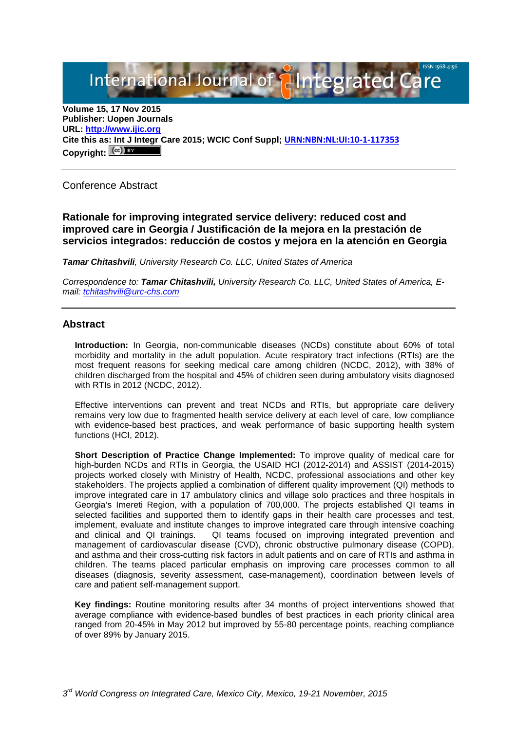International Journal of **Plategrated Ca** 

**Volume 15, 17 Nov 2015 Publisher: Uopen Journals URL: [http://www.ijic.org](http://www.ijic.org/) Cite this as: Int J Integr Care 2015; WCIC Conf Suppl; [URN:NBN:NL:UI:10-1-117353](http://persistent-identifier.nl/?identifier=URN:NBN:NL:UI:10-1-117353)** Copyright:  $(cc)$ 

Conference Abstract

**Rationale for improving integrated service delivery: reduced cost and improved care in Georgia / Justificación de la mejora en la prestación de servicios integrados: reducción de costos y mejora en la atención en Georgia**

*Tamar Chitashvili, University Research Co. LLC, United States of America*

*Correspondence to: Tamar Chitashvili, University Research Co. LLC, United States of America, Email: [tchitashvili@urc-chs.com](mailto:tchitashvili@urc-chs.com)*

## **Abstract**

**Introduction:** In Georgia, non-communicable diseases (NCDs) constitute about 60% of total morbidity and mortality in the adult population. Acute respiratory tract infections (RTIs) are the most frequent reasons for seeking medical care among children (NCDC, 2012), with 38% of children discharged from the hospital and 45% of children seen during ambulatory visits diagnosed with RTIs in 2012 (NCDC, 2012).

Effective interventions can prevent and treat NCDs and RTIs, but appropriate care delivery remains very low due to fragmented health service delivery at each level of care, low compliance with evidence-based best practices, and weak performance of basic supporting health system functions (HCI, 2012).

**Short Description of Practice Change Implemented:** To improve quality of medical care for high-burden NCDs and RTIs in Georgia, the USAID HCI (2012-2014) and ASSIST (2014-2015) projects worked closely with Ministry of Health, NCDC, professional associations and other key stakeholders. The projects applied a combination of different quality improvement (QI) methods to improve integrated care in 17 ambulatory clinics and village solo practices and three hospitals in Georgia's Imereti Region, with a population of 700,000. The projects established QI teams in selected facilities and supported them to identify gaps in their health care processes and test, implement, evaluate and institute changes to improve integrated care through intensive coaching<br>and clinical and QI trainings. QI teams focused on improving integrated prevention and QI teams focused on improving integrated prevention and management of cardiovascular disease (CVD), chronic obstructive pulmonary disease (COPD), and asthma and their cross-cutting risk factors in adult patients and on care of RTIs and asthma in children. The teams placed particular emphasis on improving care processes common to all diseases (diagnosis, severity assessment, case-management), coordination between levels of care and patient self-management support.

**Key findings:** Routine monitoring results after 34 months of project interventions showed that average compliance with evidence-based bundles of best practices in each priority clinical area ranged from 20-45% in May 2012 but improved by 55-80 percentage points, reaching compliance of over 89% by January 2015.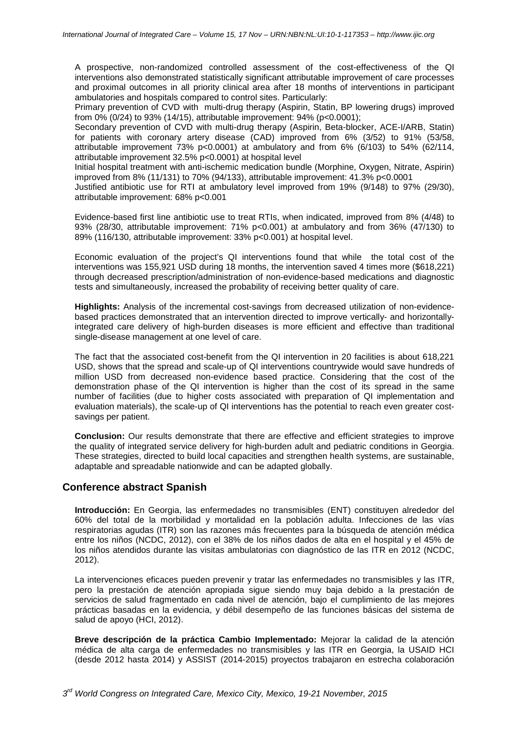A prospective, non-randomized controlled assessment of the cost-effectiveness of the QI interventions also demonstrated statistically significant attributable improvement of care processes and proximal outcomes in all priority clinical area after 18 months of interventions in participant ambulatories and hospitals compared to control sites. Particularly:

Primary prevention of CVD with multi-drug therapy (Aspirin, Statin, BP lowering drugs) improved from 0% (0/24) to 93% (14/15), attributable improvement: 94% (p<0.0001);

Secondary prevention of CVD with multi-drug therapy (Aspirin, Beta-blocker, ACE-I/ARB, Statin) for patients with coronary artery disease (CAD) improved from 6% (3/52) to 91% (53/58, attributable improvement 73% p<0.0001) at ambulatory and from 6% (6/103) to 54% (62/114, attributable improvement 32.5% p<0.0001) at hospital level

Initial hospital treatment with anti-ischemic medication bundle (Morphine, Oxygen, Nitrate, Aspirin) improved from 8% (11/131) to 70% (94/133), attributable improvement: 41.3% p<0.0001

Justified antibiotic use for RTI at ambulatory level improved from 19% (9/148) to 97% (29/30), attributable improvement: 68% p<0.001

Evidence-based first line antibiotic use to treat RTIs, when indicated, improved from 8% (4/48) to 93% (28/30, attributable improvement: 71% p<0.001) at ambulatory and from 36% (47/130) to 89% (116/130, attributable improvement: 33% p<0.001) at hospital level.

Economic evaluation of the project's QI interventions found that while the total cost of the interventions was 155,921 USD during 18 months, the intervention saved 4 times more (\$618,221) through decreased prescription/administration of non-evidence-based medications and diagnostic tests and simultaneously, increased the probability of receiving better quality of care.

**Highlights:** Analysis of the incremental cost-savings from decreased utilization of non-evidencebased practices demonstrated that an intervention directed to improve vertically- and horizontallyintegrated care delivery of high-burden diseases is more efficient and effective than traditional single-disease management at one level of care.

The fact that the associated cost-benefit from the QI intervention in 20 facilities is about 618,221 USD, shows that the spread and scale-up of QI interventions countrywide would save hundreds of million USD from decreased non-evidence based practice. Considering that the cost of the demonstration phase of the QI intervention is higher than the cost of its spread in the same number of facilities (due to higher costs associated with preparation of QI implementation and evaluation materials), the scale-up of QI interventions has the potential to reach even greater costsavings per patient.

**Conclusion:** Our results demonstrate that there are effective and efficient strategies to improve the quality of integrated service delivery for high-burden adult and pediatric conditions in Georgia. These strategies, directed to build local capacities and strengthen health systems, are sustainable, adaptable and spreadable nationwide and can be adapted globally.

## **Conference abstract Spanish**

**Introducción:** En Georgia, las enfermedades no transmisibles (ENT) constituyen alrededor del 60% del total de la morbilidad y mortalidad en la población adulta. Infecciones de las vías respiratorias agudas (ITR) son las razones más frecuentes para la búsqueda de atención médica entre los niños (NCDC, 2012), con el 38% de los niños dados de alta en el hospital y el 45% de los niños atendidos durante las visitas ambulatorias con diagnóstico de las ITR en 2012 (NCDC, 2012).

La intervenciones eficaces pueden prevenir y tratar las enfermedades no transmisibles y las ITR, pero la prestación de atención apropiada sigue siendo muy baja debido a la prestación de servicios de salud fragmentado en cada nivel de atención, bajo el cumplimiento de las mejores prácticas basadas en la evidencia, y débil desempeño de las funciones básicas del sistema de salud de apoyo (HCI, 2012).

**Breve descripción de la práctica Cambio Implementado:** Mejorar la calidad de la atención médica de alta carga de enfermedades no transmisibles y las ITR en Georgia, la USAID HCI (desde 2012 hasta 2014) y ASSIST (2014-2015) proyectos trabajaron en estrecha colaboración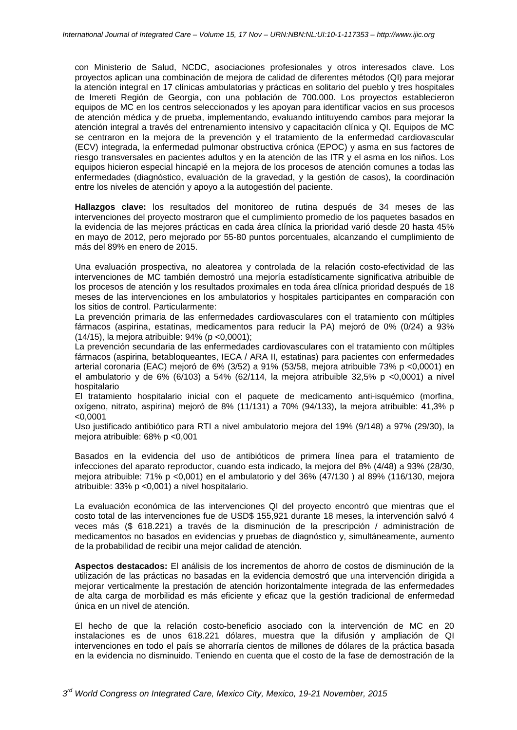con Ministerio de Salud, NCDC, asociaciones profesionales y otros interesados clave. Los proyectos aplican una combinación de mejora de calidad de diferentes métodos (QI) para mejorar la atención integral en 17 clínicas ambulatorias y prácticas en solitario del pueblo y tres hospitales de Imereti Región de Georgia, con una población de 700.000. Los proyectos establecieron equipos de MC en los centros seleccionados y les apoyan para identificar vacios en sus procesos de atención médica y de prueba, implementando, evaluando intituyendo cambos para mejorar la atención integral a través del entrenamiento intensivo y capacitación clínica y QI. Equipos de MC se centraron en la mejora de la prevención y el tratamiento de la enfermedad cardiovascular (ECV) integrada, la enfermedad pulmonar obstructiva crónica (EPOC) y asma en sus factores de riesgo transversales en pacientes adultos y en la atención de las ITR y el asma en los niños. Los equipos hicieron especial hincapié en la mejora de los procesos de atención comunes a todas las enfermedades (diagnóstico, evaluación de la gravedad, y la gestión de casos), la coordinación entre los niveles de atención y apoyo a la autogestión del paciente.

**Hallazgos clave:** los resultados del monitoreo de rutina después de 34 meses de las intervenciones del proyecto mostraron que el cumplimiento promedio de los paquetes basados en la evidencia de las mejores prácticas en cada área clínica la prioridad varió desde 20 hasta 45% en mayo de 2012, pero mejorado por 55-80 puntos porcentuales, alcanzando el cumplimiento de más del 89% en enero de 2015.

Una evaluación prospectiva, no aleatorea y controlada de la relación costo-efectividad de las intervenciones de MC también demostró una mejoría estadísticamente significativa atribuible de los procesos de atención y los resultados proximales en toda área clínica prioridad después de 18 meses de las intervenciones en los ambulatorios y hospitales participantes en comparación con los sitios de control. Particularmente:

La prevención primaria de las enfermedades cardiovasculares con el tratamiento con múltiples fármacos (aspirina, estatinas, medicamentos para reducir la PA) mejoró de 0% (0/24) a 93% (14/15), la mejora atribuible: 94% (p <0,0001);

La prevención secundaria de las enfermedades cardiovasculares con el tratamiento con múltiples fármacos (aspirina, betabloqueantes, IECA / ARA II, estatinas) para pacientes con enfermedades arterial coronaria (EAC) mejoró de 6% (3/52) a 91% (53/58, mejora atribuible 73% p <0,0001) en el ambulatorio y de 6% (6/103) a 54% (62/114, la mejora atribuible 32,5% p <0,0001) a nivel hospitalario

El tratamiento hospitalario inicial con el paquete de medicamento anti-isquémico (morfina, oxígeno, nitrato, aspirina) mejoró de 8% (11/131) a 70% (94/133), la mejora atribuible: 41,3% p  $< 0.0001$ 

Uso justificado antibiótico para RTI a nivel ambulatorio mejora del 19% (9/148) a 97% (29/30), la mejora atribuible: 68% p <0,001

Basados en la evidencia del uso de antibióticos de primera línea para el tratamiento de infecciones del aparato reproductor, cuando esta indicado, la mejora del 8% (4/48) a 93% (28/30, mejora atribuible: 71% p <0,001) en el ambulatorio y del 36% (47/130 ) al 89% (116/130, mejora atribuible: 33% p <0,001) a nivel hospitalario.

La evaluación económica de las intervenciones QI del proyecto encontró que mientras que el costo total de las intervenciones fue de USD\$ 155,921 durante 18 meses, la intervención salvó 4 veces más (\$ 618.221) a través de la disminución de la prescripción / administración de medicamentos no basados en evidencias y pruebas de diagnóstico y, simultáneamente, aumento de la probabilidad de recibir una mejor calidad de atención.

**Aspectos destacados:** El análisis de los incrementos de ahorro de costos de disminución de la utilización de las prácticas no basadas en la evidencia demostró que una intervención dirigida a mejorar verticalmente la prestación de atención horizontalmente integrada de las enfermedades de alta carga de morbilidad es más eficiente y eficaz que la gestión tradicional de enfermedad única en un nivel de atención.

El hecho de que la relación costo-beneficio asociado con la intervención de MC en 20 instalaciones es de unos 618.221 dólares, muestra que la difusión y ampliación de QI intervenciones en todo el país se ahorraría cientos de millones de dólares de la práctica basada en la evidencia no disminuido. Teniendo en cuenta que el costo de la fase de demostración de la